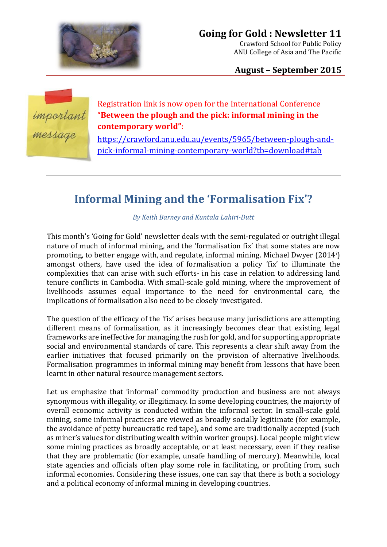

**August – September 2015**



Registration link is now open for the International Conference "**Between the plough and the pick: informal mining in the contemporary world"**:

[https://crawford.anu.edu.au/events/5965/between-plough-and](https://crawford.anu.edu.au/events/5965/between-plough-and-pick-informal-mining-contemporary-world?tb=download#tab)[pick-informal-mining-contemporary-world?tb=download#tab](https://crawford.anu.edu.au/events/5965/between-plough-and-pick-informal-mining-contemporary-world?tb=download#tab)

## **Informal Mining and the 'Formalisation Fix'?**

*By Keith Barney and Kuntala Lahiri-Dutt*

This month's 'Going for Gold' newsletter deals with the semi-regulated or outright illegal nature of much of informal mining, and the 'formalisation fix' that some states are now promoting, to better engage with, and regulate, informal mining. Michael Dwyer (2014i) amongst others, have used the idea of formalisation a policy 'fix' to illuminate the complexities that can arise with such efforts- in his case in relation to addressing land tenure conflicts in Cambodia. With small-scale gold mining, where the improvement of livelihoods assumes equal importance to the need for environmental care, the implications of formalisation also need to be closely investigated.

The question of the efficacy of the 'fix' arises because many jurisdictions are attempting different means of formalisation, as it increasingly becomes clear that existing legal frameworks are ineffective for managing the rush for gold, and for supporting appropriate social and environmental standards of care. This represents a clear shift away from the earlier initiatives that focused primarily on the provision of alternative livelihoods. Formalisation programmes in informal mining may benefit from lessons that have been learnt in other natural resource management sectors.

Let us emphasize that 'informal' commodity production and business are not always synonymous with illegality, or illegitimacy. In some developing countries, the majority of overall economic activity is conducted within the informal sector. In small-scale gold mining, some informal practices are viewed as broadly socially legitimate (for example, the avoidance of petty bureaucratic red tape), and some are traditionally accepted (such as miner's values for distributing wealth within worker groups). Local people might view some mining practices as broadly acceptable, or at least necessary, even if they realise that they are problematic (for example, unsafe handling of mercury). Meanwhile, local state agencies and officials often play some role in facilitating, or profiting from, such informal economies. Considering these issues, one can say that there is both a sociology and a political economy of informal mining in developing countries.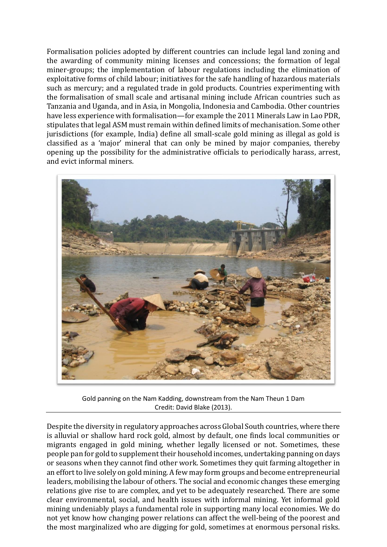Formalisation policies adopted by different countries can include legal land zoning and the awarding of community mining licenses and concessions; the formation of legal miner-groups; the implementation of labour regulations including the elimination of exploitative forms of child labour; initiatives for the safe handling of hazardous materials such as mercury; and a regulated trade in gold products. Countries experimenting with the formalisation of small scale and artisanal mining include African countries such as Tanzania and Uganda, and in Asia, in Mongolia, Indonesia and Cambodia. Other countries have less experience with formalisation—for example the 2011 Minerals Law in Lao PDR, stipulates that legal ASM must remain within defined limits of mechanisation. Some other jurisdictions (for example, India) define all small-scale gold mining as illegal as gold is classified as a 'major' mineral that can only be mined by major companies, thereby opening up the possibility for the administrative officials to periodically harass, arrest, and evict informal miners.



Gold panning on the Nam Kadding, downstream from the Nam Theun 1 Dam Credit: David Blake (2013).

Despite the diversity in regulatory approaches across Global South countries, where there is alluvial or shallow hard rock gold, almost by default, one finds local communities or migrants engaged in gold mining, whether legally licensed or not. Sometimes, these people pan for gold to supplement their household incomes, undertaking panning on days or seasons when they cannot find other work. Sometimes they quit farming altogether in an effort to live solely on gold mining. A few may form groups and become entrepreneurial leaders, mobilising the labour of others. The social and economic changes these emerging relations give rise to are complex, and yet to be adequately researched. There are some clear environmental, social, and health issues with informal mining. Yet informal gold mining undeniably plays a fundamental role in supporting many local economies. We do not yet know how changing power relations can affect the well-being of the poorest and the most marginalized who are digging for gold, sometimes at enormous personal risks.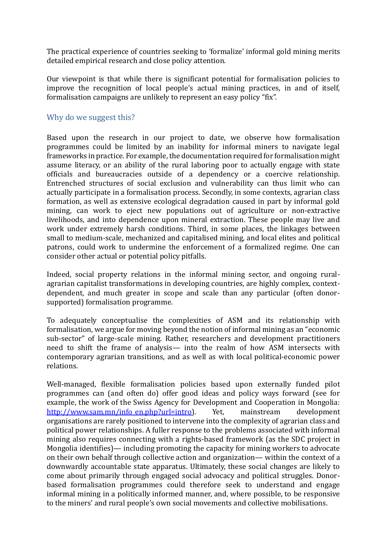The practical experience of countries seeking to 'formalize' informal gold mining merits detailed empirical research and close policy attention.

Our viewpoint is that while there is significant potential for formalisation policies to improve the recognition of local people's actual mining practices, in and of itself, formalisation campaigns are unlikely to represent an easy policy "fix".

## Why do we suggest this?

Based upon the research in our project to date, we observe how formalisation programmes could be limited by an inability for informal miners to navigate legal frameworks in practice. For example, the documentation required for formalisation might assume literacy, or an ability of the rural laboring poor to actually engage with state officials and bureaucracies outside of a dependency or a coercive relationship. Entrenched structures of social exclusion and vulnerability can thus limit who can actually participate in a formalisation process. Secondly, in some contexts, agrarian class formation, as well as extensive ecological degradation caused in part by informal gold mining, can work to eject new populations out of agriculture or non-extractive livelihoods, and into dependence upon mineral extraction. These people may live and work under extremely harsh conditions. Third, in some places, the linkages between small to medium-scale, mechanized and capitalised mining, and local elites and political patrons, could work to undermine the enforcement of a formalized regime. One can consider other actual or potential policy pitfalls.

Indeed, social property relations in the informal mining sector, and ongoing ruralagrarian capitalist transformations in developing countries, are highly complex, contextdependent, and much greater in scope and scale than any particular (often donorsupported) formalisation programme.

To adequately conceptualise the complexities of ASM and its relationship with formalisation, we argue for moving beyond the notion of informal mining as an "economic sub-sector" of large-scale mining. Rather, researchers and development practitioners need to shift the frame of analysis— into the realm of how ASM intersects with contemporary agrarian transitions, and as well as with local political-economic power relations.

Well-managed, flexible formalisation policies based upon externally funded pilot programmes can (and often do) offer good ideas and policy ways forward (see for example, the work of the Swiss Agency for Development and Cooperation in Mongolia: [http://www.sam.mn/info\\_en.php?url=intro\)](http://www.sam.mn/info_en.php?url=intro). Yet, mainstream development organisations are rarely positioned to intervene into the complexity of agrarian class and political power relationships. A fuller response to the problems associated with informal mining also requires connecting with a rights-based framework (as the SDC project in Mongolia identifies)— including promoting the capacity for mining workers to advocate on their own behalf through collective action and organization— within the context of a downwardly accountable state apparatus. Ultimately, these social changes are likely to come about primarily through engaged social advocacy and political struggles. Donorbased formalisation programmes could therefore seek to understand and engage informal mining in a politically informed manner, and, where possible, to be responsive to the miners' and rural people's own social movements and collective mobilisations.